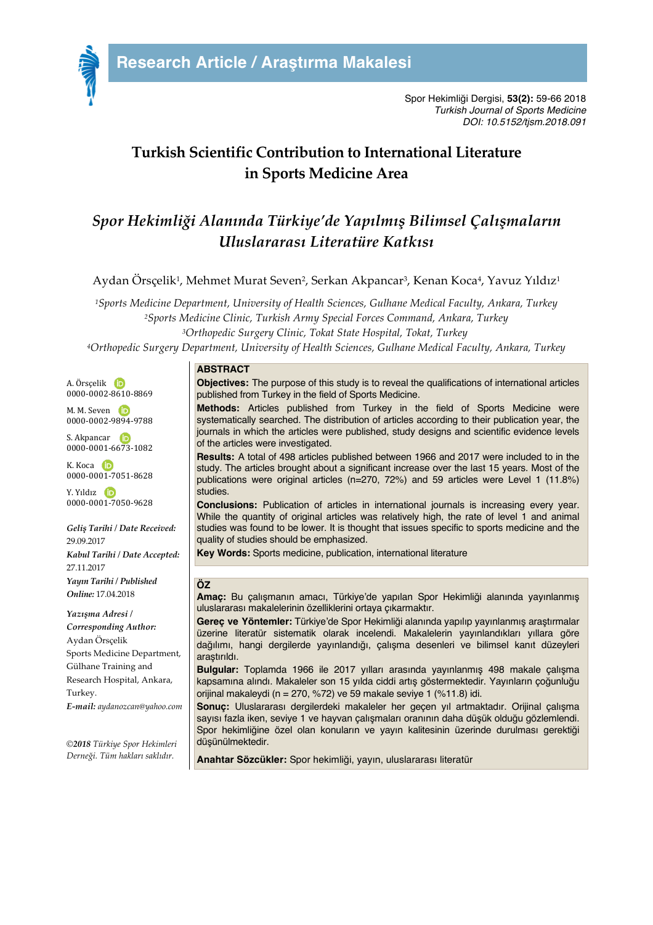

# **Turkish Scientific Contribution to International Literature in Sports Medicine Area**

# *Spor Hekimliği Alanında Türkiye'de Yapılmış Bilimsel Çalışmaların Uluslararası Literatüre Katkısı*

Aydan Örsçelik<sup>1</sup>, Mehmet Murat Seven<sup>2</sup>, Serkan Akpancar<sup>3</sup>, Kenan Koca<sup>4</sup>, Yavuz Yıldız<sup>1</sup>

*1Sports Medicine Department, University of Health Sciences, Gulhane Medical Faculty, Ankara, Turkey 2Sports Medicine Clinic, Turkish Army Special Forces Command, Ankara, Turkey 3Orthopedic Surgery Clinic, Tokat State Hospital, Tokat, Turkey*

*4Orthopedic Surgery Department, University of Health Sciences, Gulhane Medical Faculty, Ankara, Turkey*

#### A. Örscelik D 0000-0002-8610-8869

M. M. Seven **D** 0000-0002-9894-9788

S. Akpancar **D** 0000-0001-6673-1082

K. Koca **D** 0000-0001-7051-8628

Y. Yıldız iD 0000-0001-7050-9628

*Geliş Tarihi / Date Received:* 29.09.2017 *Kabul Tarihi / Date Accepted:* 27.11.2017 *Yayın Tarihi / Published Online:* 17.04.2018

*Yazışma Adresi / Corresponding Author:* Aydan Örsçelik Sports Medicine Department, Gülhane Training and Research Hospital, Ankara, Turkey. *E-mail: aydanozcan@yahoo.com*

*©2018 Türkiye Spor Hekimleri Derneği. Tüm hakları saklıdır.*

### **ABSTRACT**

**Objectives:** The purpose of this study is to reveal the qualifications of international articles published from Turkey in the field of Sports Medicine.

**Methods:** Articles published from Turkey in the field of Sports Medicine were systematically searched. The distribution of articles according to their publication year, the journals in which the articles were published, study designs and scientific evidence levels of the articles were investigated.

**Results:** A total of 498 articles published between 1966 and 2017 were included to in the study. The articles brought about a significant increase over the last 15 years. Most of the publications were original articles (n=270, 72%) and 59 articles were Level 1 (11.8%) studies.

**Conclusions:** Publication of articles in international journals is increasing every year. While the quantity of original articles was relatively high, the rate of level 1 and animal studies was found to be lower. It is thought that issues specific to sports medicine and the quality of studies should be emphasized.

**Key Words:** Sports medicine, publication, international literature

### **ÖZ**

**Amaç:** Bu çalışmanın amacı, Türkiye'de yapılan Spor Hekimliği alanında yayınlanmış uluslararası makalelerinin özelliklerini ortaya çıkarmaktır.

**Gereç ve Yöntemler:** Türkiye'de Spor Hekimliği alanında yapılıp yayınlanmış araştırmalar üzerine literatür sistematik olarak incelendi. Makalelerin yayınlandıkları yıllara göre dağılımı, hangi dergilerde yayınlandığı, çalışma desenleri ve bilimsel kanıt düzeyleri araştırıldı.

**Bulgular:** Toplamda 1966 ile 2017 yılları arasında yayınlanmış 498 makale çalışma kapsamına alındı. Makaleler son 15 yılda ciddi artış göstermektedir. Yayınların çoğunluğu orijinal makaleydi (n = 270, %72) ve 59 makale seviye 1 (%11.8) idi.

**Sonuç:** Uluslararası dergilerdeki makaleler her geçen yıl artmaktadır. Orijinal çalışma sayısı fazla iken, seviye 1 ve hayvan çalışmaları oranının daha düşük olduğu gözlemlendi. Spor hekimliğine özel olan konuların ve yayın kalitesinin üzerinde durulması gerektiği düşünülmektedir.

**Anahtar Sözcükler:** Spor hekimliği, yayın, uluslararası literatür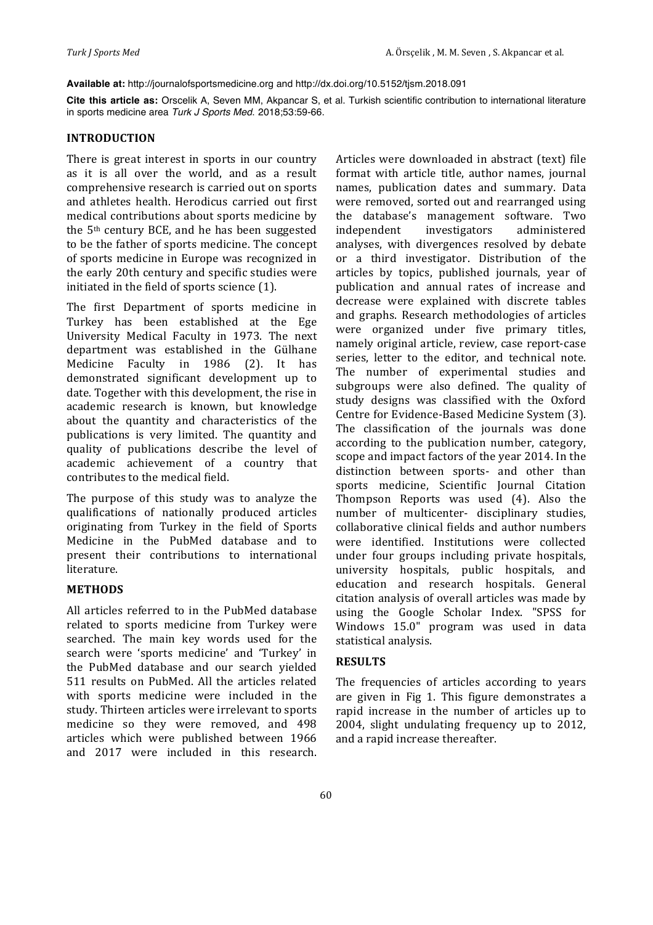**Available at:** http://journalofsportsmedicine.org and http://dx.doi.org/10.5152/tjsm.2018.091

**Cite this article as:** Orscelik A, Seven MM, Akpancar S, et al. Turkish scientific contribution to international literature in sports medicine area *Turk J Sports Med*. 2018;53:59-66.

#### **INTRODUCTION**

There is great interest in sports in our country as it is all over the world, and as a result comprehensive research is carried out on sports and athletes health. Herodicus carried out first medical contributions about sports medicine by the 5<sup>th</sup> century BCE, and he has been suggested to be the father of sports medicine. The concept of sports medicine in Europe was recognized in the early 20th century and specific studies were initiated in the field of sports science (1).

The first Department of sports medicine in Turkey has been established at the Ege University Medical Faculty in 1973. The next department was established in the Gülhane Medicine Faculty in 1986 (2). It has demonstrated significant development up to date. Together with this development, the rise in academic research is known, but knowledge about the quantity and characteristics of the publications is very limited. The quantity and quality of publications describe the level of academic achievement of a country that contributes to the medical field.

The purpose of this study was to analyze the qualifications of nationally produced articles originating from Turkey in the field of Sports Medicine in the PubMed database and to present their contributions to international literature. 

### **METHODS**

All articles referred to in the PubMed database related to sports medicine from Turkey were searched. The main key words used for the search were 'sports medicine' and 'Turkey' in the PubMed database and our search vielded 511 results on PubMed. All the articles related with sports medicine were included in the study. Thirteen articles were irrelevant to sports medicine so they were removed, and 498 articles which were published between 1966 and 2017 were included in this research. Articles were downloaded in abstract (text) file format with article title, author names, journal names, publication dates and summary. Data were removed, sorted out and rearranged using the database's management software. Two independent investigators administered analyses, with divergences resolved by debate or a third investigator. Distribution of the articles by topics, published journals, year of publication and annual rates of increase and decrease were explained with discrete tables and graphs. Research methodologies of articles were organized under five primary titles, namely original article, review, case report-case series, letter to the editor, and technical note. The number of experimental studies and subgroups were also defined. The quality of study designs was classified with the Oxford Centre for Evidence-Based Medicine System (3). The classification of the journals was done according to the publication number, category, scope and impact factors of the year 2014. In the distinction between sports- and other than sports medicine, Scientific Journal Citation Thompson Reports was used (4). Also the number of multicenter- disciplinary studies, collaborative clinical fields and author numbers were identified. Institutions were collected under four groups including private hospitals, university hospitals, public hospitals, and education and research hospitals. General citation analysis of overall articles was made by using the Google Scholar Index. "SPSS for Windows 15.0" program was used in data statistical analysis.

### **RESULTS**

The frequencies of articles according to years are given in Fig 1. This figure demonstrates a rapid increase in the number of articles up to 2004, slight undulating frequency up to 2012, and a rapid increase thereafter.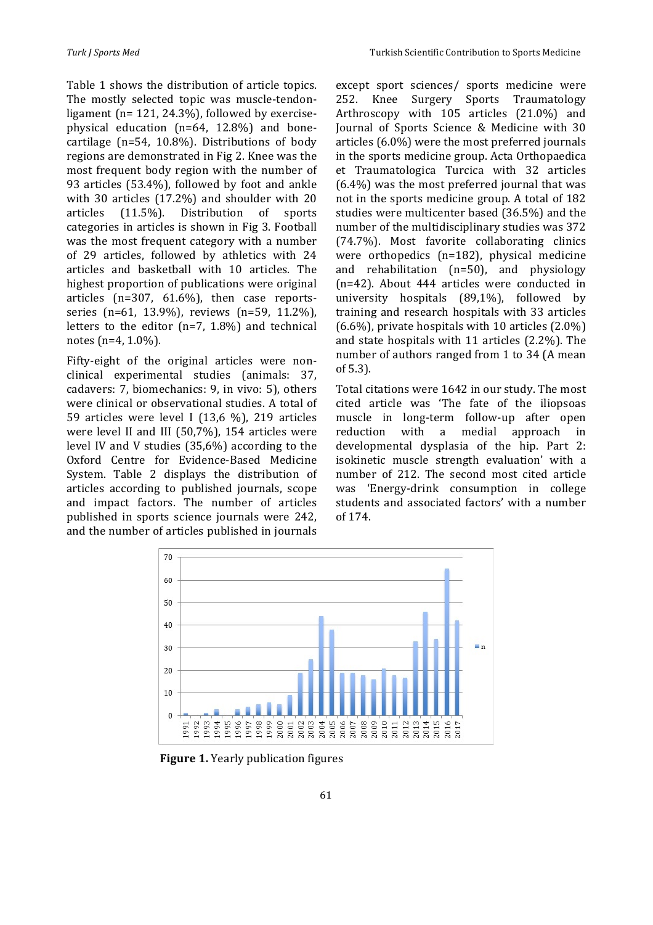Table 1 shows the distribution of article topics. The mostly selected topic was muscle-tendonligament ( $n= 121, 24.3\%$ ), followed by exercisephysical education  $(n=64, 12.8%)$  and bonecartilage ( $n=54$ , 10.8%). Distributions of body regions are demonstrated in Fig 2. Knee was the most frequent body region with the number of 93 articles (53.4%), followed by foot and ankle with  $30$  articles  $(17.2\%)$  and shoulder with  $20$ articles (11.5%). Distribution of sports categories in articles is shown in Fig 3. Football was the most frequent category with a number of 29 articles, followed by athletics with 24 articles and basketball with 10 articles. The highest proportion of publications were original articles  $(n=307, 61.6\%)$ , then case reportsseries (n=61, 13.9%), reviews (n=59, 11.2%), letters to the editor  $(n=7, 1.8%)$  and technical notes  $(n=4, 1.0\%)$ .

Fifty-eight of the original articles were nonclinical experimental studies (animals: 37, cadavers: 7, biomechanics: 9, in vivo: 5), others were clinical or observational studies. A total of 59 articles were level I (13,6 %), 219 articles were level II and III  $(50,7\%)$ , 154 articles were level IV and V studies  $(35,6%)$  according to the Oxford Centre for Evidence-Based Medicine System. Table 2 displays the distribution of articles according to published journals, scope and impact factors. The number of articles published in sports science journals were 242, and the number of articles published in journals

except sport sciences/ sports medicine were 252. Knee Surgery Sports Traumatology Arthroscopy with 105 articles (21.0%) and Journal of Sports Science & Medicine with 30 articles  $(6.0\%)$  were the most preferred journals in the sports medicine group. Acta Orthopaedica et Traumatologica Turcica with 32 articles  $(6.4\%)$  was the most preferred journal that was not in the sports medicine group. A total of 182 studies were multicenter based (36.5%) and the number of the multidisciplinary studies was 372 (74.7%). Most favorite collaborating clinics were orthopedics  $(n=182)$ , physical medicine and rehabilitation  $(n=50)$ , and physiology  $(n=42)$ . About  $444$  articles were conducted in university hospitals  $(89,1\%)$ , followed by training and research hospitals with 33 articles  $(6.6\%)$ , private hospitals with 10 articles  $(2.0\%)$ and state hospitals with  $11$  articles  $(2.2\%)$ . The number of authors ranged from 1 to 34 (A mean of 5.3).

Total citations were 1642 in our study. The most cited article was 'The fate of the iliopsoas muscle in long-term follow-up after open reduction with a medial approach in developmental dysplasia of the hip. Part 2: isokinetic muscle strength evaluation' with a number of 212. The second most cited article was 'Energy-drink consumption in college students and associated factors' with a number of 174.



**Figure 1.** Yearly publication figures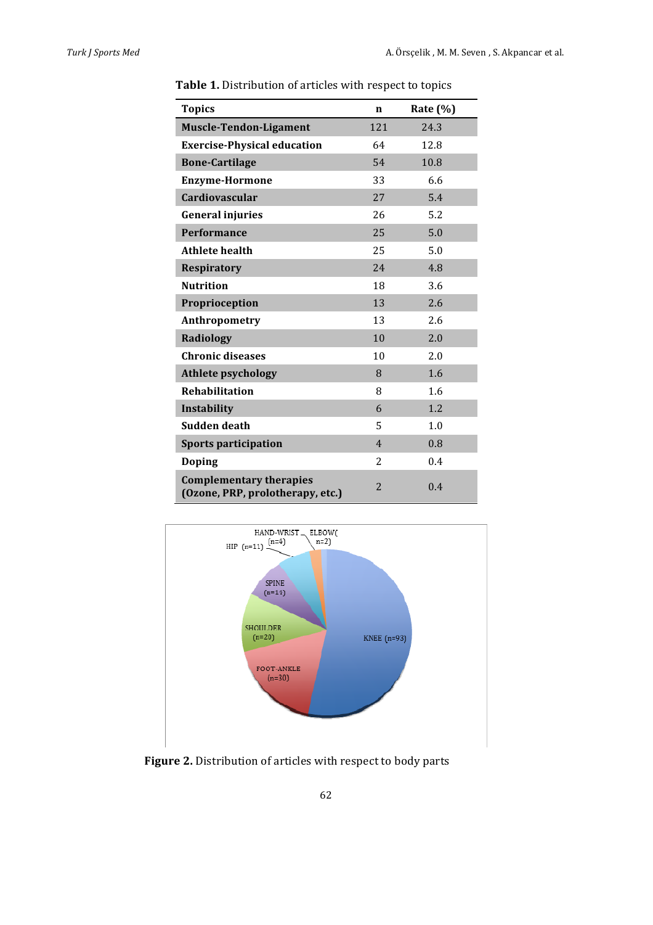| <b>Topics</b>                                                      | $\mathbf n$    | Rate $(\% )$ |
|--------------------------------------------------------------------|----------------|--------------|
| <b>Muscle-Tendon-Ligament</b>                                      | 121            | 24.3         |
| <b>Exercise-Physical education</b>                                 | 64             | 12.8         |
| <b>Bone-Cartilage</b>                                              | 54             | 10.8         |
| <b>Enzyme-Hormone</b>                                              | 33             | 6.6          |
| <b>Cardiovascular</b>                                              | 27             | 5.4          |
| <b>General injuries</b>                                            | 26             | 5.2          |
| <b>Performance</b>                                                 | 25             | 5.0          |
| <b>Athlete health</b>                                              | 25             | 5.0          |
| <b>Respiratory</b>                                                 | 24             | 4.8          |
| <b>Nutrition</b>                                                   | 18             | 3.6          |
| Proprioception                                                     | 13             | 2.6          |
| Anthropometry                                                      | 13             | 2.6          |
| <b>Radiology</b>                                                   | 10             | 2.0          |
| <b>Chronic diseases</b>                                            | 10             | 2.0          |
| <b>Athlete psychology</b>                                          | 8              | 1.6          |
| <b>Rehabilitation</b>                                              | 8              | 1.6          |
| Instability                                                        | 6              | 1.2          |
| Sudden death                                                       | 5              | 1.0          |
| <b>Sports participation</b>                                        | $\overline{4}$ | 0.8          |
| <b>Doping</b>                                                      | $\overline{2}$ | 0.4          |
| <b>Complementary therapies</b><br>(Ozone, PRP, prolotherapy, etc.) | $\overline{2}$ | 0.4          |

Table 1. Distribution of articles with respect to topics



Figure 2. Distribution of articles with respect to body parts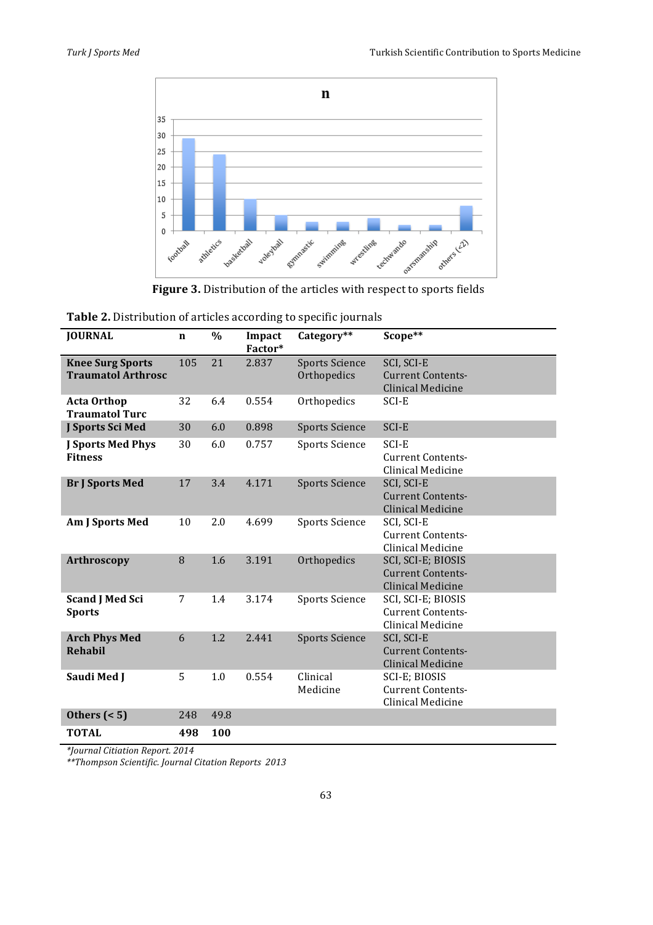

Figure 3. Distribution of the articles with respect to sports fields

| Table 2. Distribution of articles according to specific journals |  |  |  |  |
|------------------------------------------------------------------|--|--|--|--|
|------------------------------------------------------------------|--|--|--|--|

| <b>JOURNAL</b>                                       | $\mathbf n$ | $\%$ | Impact<br>Factor* | Category**                           | Scope**                                                                    |
|------------------------------------------------------|-------------|------|-------------------|--------------------------------------|----------------------------------------------------------------------------|
| <b>Knee Surg Sports</b><br><b>Traumatol Arthrosc</b> | 105         | 21   | 2.837             | <b>Sports Science</b><br>Orthopedics | SCI, SCI-E<br><b>Current Contents-</b><br>Clinical Medicine                |
| <b>Acta Orthop</b><br><b>Traumatol Turc</b>          | 32          | 6.4  | 0.554             | Orthopedics                          | SCI-E                                                                      |
| J Sports Sci Med                                     | 30          | 6.0  | 0.898             | <b>Sports Science</b>                | SCI-E                                                                      |
| <b>J Sports Med Phys</b><br><b>Fitness</b>           | 30          | 6.0  | 0.757             | <b>Sports Science</b>                | SCI-E<br><b>Current Contents-</b><br>Clinical Medicine                     |
| <b>Br J Sports Med</b>                               | 17          | 3.4  | 4.171             | <b>Sports Science</b>                | SCI, SCI-E<br><b>Current Contents-</b><br>Clinical Medicine                |
| Am J Sports Med                                      | 10          | 2.0  | 4.699             | <b>Sports Science</b>                | SCI, SCI-E<br><b>Current Contents-</b><br>Clinical Medicine                |
| <b>Arthroscopy</b>                                   | 8           | 1.6  | 3.191             | Orthopedics                          | SCI, SCI-E; BIOSIS<br><b>Current Contents-</b><br><b>Clinical Medicine</b> |
| <b>Scand J Med Sci</b><br><b>Sports</b>              | 7           | 1.4  | 3.174             | <b>Sports Science</b>                | SCI, SCI-E; BIOSIS<br><b>Current Contents-</b><br>Clinical Medicine        |
| <b>Arch Phys Med</b><br><b>Rehabil</b>               | 6           | 1.2  | 2.441             | <b>Sports Science</b>                | SCI, SCI-E<br><b>Current Contents-</b><br><b>Clinical Medicine</b>         |
| Saudi Med J                                          | 5           | 1.0  | 0.554             | Clinical<br>Medicine                 | SCI-E; BIOSIS<br><b>Current Contents-</b><br>Clinical Medicine             |
| Others $(< 5)$                                       | 248         | 49.8 |                   |                                      |                                                                            |
| <b>TOTAL</b>                                         | 498         | 100  |                   |                                      |                                                                            |

*\*Journal Citiation Report. 2014*

*\*\*Thompson Scientific. Journal Citation Reports 2013*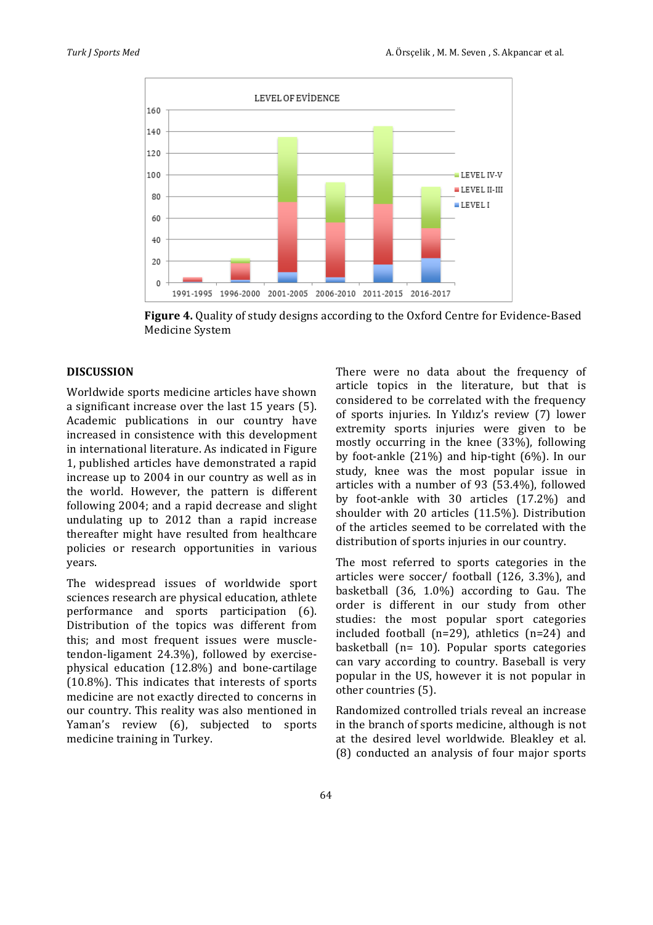

**Figure 4.** Quality of study designs according to the Oxford Centre for Evidence-Based Medicine System

## **DISCUSSION**

Worldwide sports medicine articles have shown a significant increase over the last 15 years (5). Academic publications in our country have increased in consistence with this development in international literature. As indicated in Figure 1, published articles have demonstrated a rapid increase up to 2004 in our country as well as in the world. However, the pattern is different following 2004; and a rapid decrease and slight undulating up to 2012 than a rapid increase thereafter might have resulted from healthcare policies or research opportunities in various years.

The widespread issues of worldwide sport sciences research are physical education, athlete performance and sports participation (6). Distribution of the topics was different from this; and most frequent issues were muscletendon-ligament 24.3%), followed by exercisephysical education  $(12.8%)$  and bone-cartilage  $(10.8\%)$ . This indicates that interests of sports medicine are not exactly directed to concerns in our country. This reality was also mentioned in Yaman's review (6), subjected to sports medicine training in Turkey.

There were no data about the frequency of article topics in the literature, but that is considered to be correlated with the frequency of sports injuries. In Yıldız's review (7) lower extremity sports injuries were given to be mostly occurring in the knee  $(33%)$ , following by foot-ankle  $(21\%)$  and hip-tight  $(6\%)$ . In our study, knee was the most popular issue in articles with a number of 93  $(53.4%)$ , followed by foot-ankle with 30 articles (17.2%) and shoulder with  $20$  articles  $(11.5%)$ . Distribution of the articles seemed to be correlated with the distribution of sports injuries in our country.

The most referred to sports categories in the articles were soccer/ football  $(126, 3.3\%)$ , and basketball  $(36, 1.0\%)$  according to Gau. The order is different in our study from other studies: the most popular sport categories included football ( $n=29$ ), athletics ( $n=24$ ) and basketball ( $n=10$ ). Popular sports categories can vary according to country. Baseball is very popular in the US, however it is not popular in other countries (5).

Randomized controlled trials reveal an increase in the branch of sports medicine, although is not at the desired level worldwide. Bleakley et al. (8) conducted an analysis of four major sports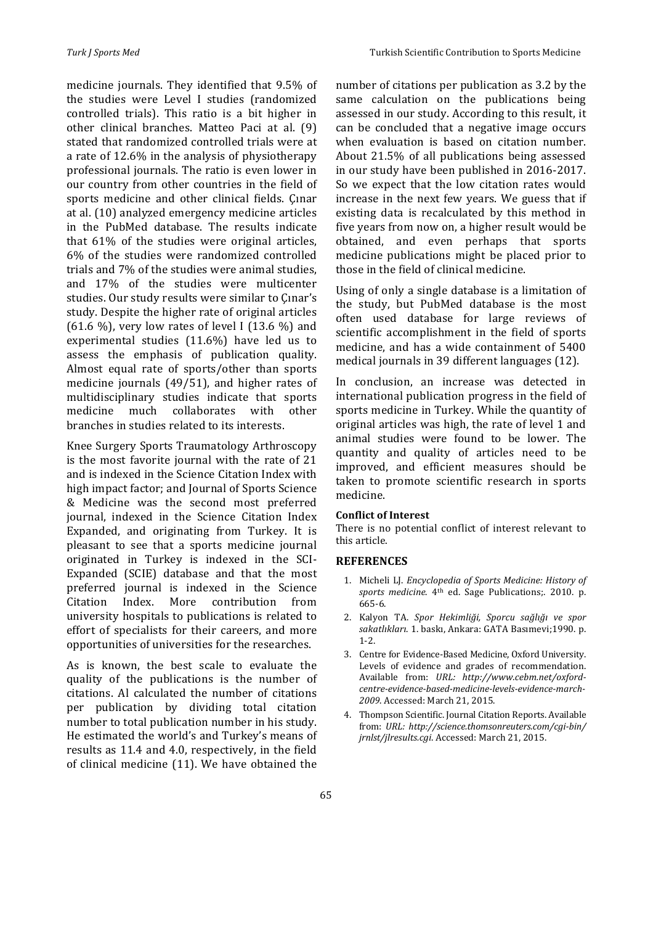medicine journals. They identified that 9.5% of the studies were Level I studies (randomized controlled trials). This ratio is a bit higher in other clinical branches. Matteo Paci at al. (9) stated that randomized controlled trials were at a rate of 12.6% in the analysis of physiotherapy professional journals. The ratio is even lower in our country from other countries in the field of sports medicine and other clinical fields. Cinar at al. (10) analyzed emergency medicine articles in the PubMed database. The results indicate that  $61\%$  of the studies were original articles, 6% of the studies were randomized controlled trials and 7% of the studies were animal studies, and 17% of the studies were multicenter studies. Our study results were similar to Çinar's study. Despite the higher rate of original articles  $(61.6\%)$ , very low rates of level I  $(13.6\%)$  and experimental studies  $(11.6%)$  have led us to assess the emphasis of publication quality. Almost equal rate of sports/other than sports medicine journals  $(49/51)$ , and higher rates of multidisciplinary studies indicate that sports medicine much collaborates with other branches in studies related to its interests.

Knee Surgery Sports Traumatology Arthroscopy is the most favorite journal with the rate of 21 and is indexed in the Science Citation Index with high impact factor; and Journal of Sports Science & Medicine was the second most preferred journal, indexed in the Science Citation Index Expanded, and originating from Turkey. It is pleasant to see that a sports medicine journal originated in Turkey is indexed in the SCI-Expanded (SCIE) database and that the most preferred iournal is indexed in the Science Citation Index. More contribution from university hospitals to publications is related to effort of specialists for their careers, and more opportunities of universities for the researches.

As is known, the best scale to evaluate the quality of the publications is the number of citations. Al calculated the number of citations per publication by dividing total citation number to total publication number in his study. He estimated the world's and Turkey's means of results as 11.4 and 4.0, respectively, in the field of clinical medicine (11). We have obtained the

number of citations per publication as 3.2 by the same calculation on the publications being assessed in our study. According to this result, it can be concluded that a negative image occurs when evaluation is based on citation number. About 21.5% of all publications being assessed in our study have been published in 2016-2017. So we expect that the low citation rates would increase in the next few years. We guess that if existing data is recalculated by this method in five years from now on, a higher result would be obtained, and even perhaps that sports medicine publications might be placed prior to those in the field of clinical medicine.

Using of only a single database is a limitation of the study, but PubMed database is the most often used database for large reviews of scientific accomplishment in the field of sports medicine, and has a wide containment of 5400 medical journals in 39 different languages (12).

In conclusion, an increase was detected in international publication progress in the field of sports medicine in Turkey. While the quantity of original articles was high, the rate of level 1 and animal studies were found to be lower. The quantity and quality of articles need to be improved, and efficient measures should be taken to promote scientific research in sports medicine.

#### **Conflict of Interest**

There is no potential conflict of interest relevant to this article.

### **REFERENCES**

- 1. Micheli LJ. *Encyclopedia of Sports Medicine: History of sports medicine*. 4<sup>th</sup> ed. Sage Publications;. 2010. p. 665-6.
- 2. Kalyon TA. *Spor Hekimliği, Sporcu sağlığı ve spor sakatlıkları*. 1. baskı, Ankara: GATA Basımevi;1990. p. 1-2.
- 3. Centre for Evidence-Based Medicine, Oxford University. Levels of evidence and grades of recommendation. Available from: URL: http://www.cebm.net/oxford*centre-evidence-based-medicine-levels-evidence-march-2009*. Accessed: March 21, 2015.
- 4. Thompson Scientific. Journal Citation Reports. Available from: *URL: http://science.thomsonreuters.com/cgi-bin/ jrnlst/jlresults.cgi*. Accessed: March 21, 2015.